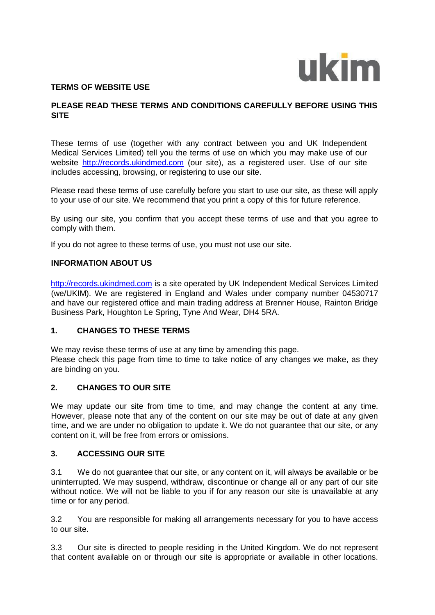

### **TERMS OF WEBSITE USE**

### **PLEASE READ THESE TERMS AND CONDITIONS CAREFULLY BEFORE USING THIS SITE**

These terms of use (together with any contract between you and UK Independent Medical Services Limited) tell you the terms of use on which you may make use of our website [http://records.ukindmed.com](http://records.ukindmed.com/) (our site), as a registered user. Use of our site includes accessing, browsing, or registering to use our site.

Please read these terms of use carefully before you start to use our site, as these will apply to your use of our site. We recommend that you print a copy of this for future reference.

By using our site, you confirm that you accept these terms of use and that you agree to comply with them.

If you do not agree to these terms of use, you must not use our site.

#### **INFORMATION ABOUT US**

[http://records.ukindmed.com](http://records.ukindmed.com/) [is](http://records.ukindmed.com/) a site operated by UK Independent Medical Services Limited (we/UKIM). We are registered in England and Wales under company number 04530717 and have our registered office and main trading address at Brenner House, Rainton Bridge Business Park, Houghton Le Spring, Tyne And Wear, DH4 5RA.

### **1. CHANGES TO THESE TERMS**

We may revise these terms of use at any time by amending this page. Please check this page from time to time to take notice of any changes we make, as they are binding on you.

### **2. CHANGES TO OUR SITE**

We may update our site from time to time, and may change the content at any time. However, please note that any of the content on our site may be out of date at any given time, and we are under no obligation to update it. We do not guarantee that our site, or any content on it, will be free from errors or omissions.

### **3. ACCESSING OUR SITE**

3.1 We do not guarantee that our site, or any content on it, will always be available or be uninterrupted. We may suspend, withdraw, discontinue or change all or any part of our site without notice. We will not be liable to you if for any reason our site is unavailable at any time or for any period.

3.2 You are responsible for making all arrangements necessary for you to have access to our site.

3.3 Our site is directed to people residing in the United Kingdom. We do not represent that content available on or through our site is appropriate or available in other locations.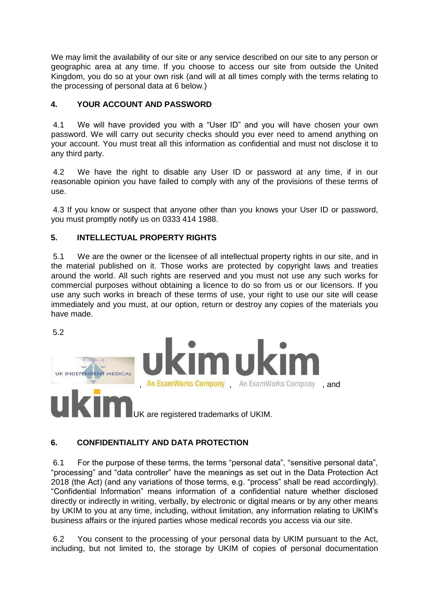We may limit the availability of our site or any service described on our site to any person or geographic area at any time. If you choose to access our site from outside the United Kingdom, you do so at your own risk (and will at all times comply with the terms relating to the processing of personal data at 6 below.)

## **4. YOUR ACCOUNT AND PASSWORD**

4.1 We will have provided you with a "User ID" and you will have chosen your own password. We will carry out security checks should you ever need to amend anything on your account. You must treat all this information as confidential and must not disclose it to any third party.

4.2 We have the right to disable any User ID or password at any time, if in our reasonable opinion you have failed to comply with any of the provisions of these terms of use.

4.3 If you know or suspect that anyone other than you knows your User ID or password, you must promptly notify us on 0333 414 1988.

### **5. INTELLECTUAL PROPERTY RIGHTS**

5.1 We are the owner or the licensee of all intellectual property rights in our site, and in the material published on it. Those works are protected by copyright laws and treaties around the world. All such rights are reserved and you must not use any such works for commercial purposes without obtaining a licence to do so from us or our licensors. If you use any such works in breach of these terms of use, your right to use our site will cease immediately and you must, at our option, return or destroy any copies of the materials you have made.

5.2



# **6. CONFIDENTIALITY AND DATA PROTECTION**

6.1 For the purpose of these terms, the terms "personal data", "sensitive personal data", "processing" and "data controller" have the meanings as set out in the Data Protection Act 2018 (the Act) (and any variations of those terms, e.g. "process" shall be read accordingly). "Confidential Information" means information of a confidential nature whether disclosed directly or indirectly in writing, verbally, by electronic or digital means or by any other means by UKIM to you at any time, including, without limitation, any information relating to UKIM's business affairs or the injured parties whose medical records you access via our site.

6.2 You consent to the processing of your personal data by UKIM pursuant to the Act, including, but not limited to, the storage by UKIM of copies of personal documentation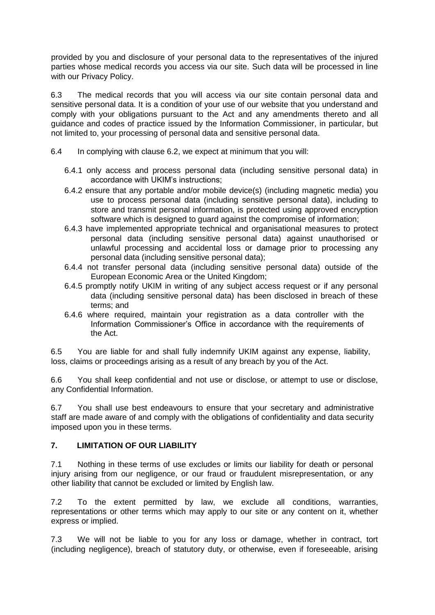provided by you and disclosure of your personal data to the representatives of the injured parties whose medical records you access via our site. Such data will be processed in line with our Privacy Policy.

6.3 The medical records that you will access via our site contain personal data and sensitive personal data. It is a condition of your use of our website that you understand and comply with your obligations pursuant to the Act and any amendments thereto and all guidance and codes of practice issued by the Information Commissioner, in particular, but not limited to, your processing of personal data and sensitive personal data.

- 6.4 In complying with clause 6.2, we expect at minimum that you will:
	- 6.4.1 only access and process personal data (including sensitive personal data) in accordance with UKIM's instructions;
	- 6.4.2 ensure that any portable and/or mobile device(s) (including magnetic media) you use to process personal data (including sensitive personal data), including to store and transmit personal information, is protected using approved encryption software which is designed to guard against the compromise of information;
	- 6.4.3 have implemented appropriate technical and organisational measures to protect personal data (including sensitive personal data) against unauthorised or unlawful processing and accidental loss or damage prior to processing any personal data (including sensitive personal data);
	- 6.4.4 not transfer personal data (including sensitive personal data) outside of the European Economic Area or the United Kingdom;
	- 6.4.5 promptly notify UKIM in writing of any subject access request or if any personal data (including sensitive personal data) has been disclosed in breach of these terms; and
	- 6.4.6 where required, maintain your registration as a data controller with the Information Commissioner's Office in accordance with the requirements of the Act.

6.5 You are liable for and shall fully indemnify UKIM against any expense, liability, loss, claims or proceedings arising as a result of any breach by you of the Act.

6.6 You shall keep confidential and not use or disclose, or attempt to use or disclose, any Confidential Information.

6.7 You shall use best endeavours to ensure that your secretary and administrative staff are made aware of and comply with the obligations of confidentiality and data security imposed upon you in these terms.

# **7. LIMITATION OF OUR LIABILITY**

7.1 Nothing in these terms of use excludes or limits our liability for death or personal injury arising from our negligence, or our fraud or fraudulent misrepresentation, or any other liability that cannot be excluded or limited by English law.

7.2 To the extent permitted by law, we exclude all conditions, warranties, representations or other terms which may apply to our site or any content on it, whether express or implied.

7.3 We will not be liable to you for any loss or damage, whether in contract, tort (including negligence), breach of statutory duty, or otherwise, even if foreseeable, arising